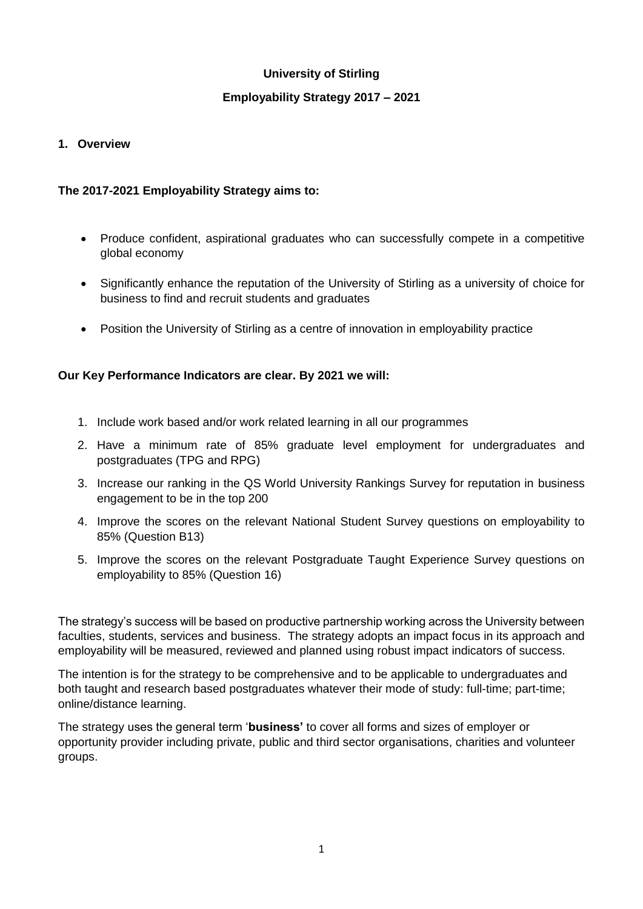#### **University of Stirling**

#### **Employability Strategy 2017 – 2021**

#### **1. Overview**

#### **The 2017-2021 Employability Strategy aims to:**

- Produce confident, aspirational graduates who can successfully compete in a competitive global economy
- Significantly enhance the reputation of the University of Stirling as a university of choice for business to find and recruit students and graduates
- Position the University of Stirling as a centre of innovation in employability practice

#### **Our Key Performance Indicators are clear. By 2021 we will:**

- 1. Include work based and/or work related learning in all our programmes
- 2. Have a minimum rate of 85% graduate level employment for undergraduates and postgraduates (TPG and RPG)
- 3. Increase our ranking in the QS World University Rankings Survey for reputation in business engagement to be in the top 200
- 4. Improve the scores on the relevant National Student Survey questions on employability to 85% (Question B13)
- 5. Improve the scores on the relevant Postgraduate Taught Experience Survey questions on employability to 85% (Question 16)

The strategy's success will be based on productive partnership working across the University between faculties, students, services and business. The strategy adopts an impact focus in its approach and employability will be measured, reviewed and planned using robust impact indicators of success.

The intention is for the strategy to be comprehensive and to be applicable to undergraduates and both taught and research based postgraduates whatever their mode of study: full-time; part-time; online/distance learning.

The strategy uses the general term '**business'** to cover all forms and sizes of employer or opportunity provider including private, public and third sector organisations, charities and volunteer groups.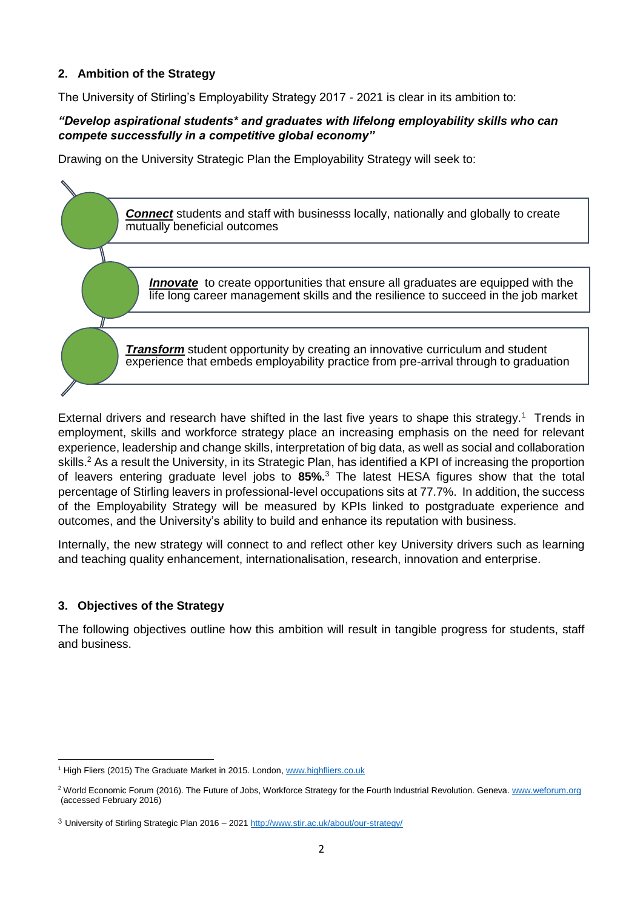## **2. Ambition of the Strategy**

The University of Stirling's Employability Strategy 2017 - 2021 is clear in its ambition to:

## *"Develop aspirational students\* and graduates with lifelong employability skills who can compete successfully in a competitive global economy"*

Drawing on the University Strategic Plan the Employability Strategy will seek to:



External drivers and research have shifted in the last five years to shape this strategy.<sup>1</sup> Trends in employment, skills and workforce strategy place an increasing emphasis on the need for relevant experience, leadership and change skills, interpretation of big data, as well as social and collaboration skills.<sup>2</sup> As a result the University, in its Strategic Plan, has identified a KPI of increasing the proportion of leavers entering graduate level jobs to **85%.** <sup>3</sup> The latest HESA figures show that the total percentage of Stirling leavers in professional-level occupations sits at 77.7%. In addition, the success of the Employability Strategy will be measured by KPIs linked to postgraduate experience and outcomes, and the University's ability to build and enhance its reputation with business.

Internally, the new strategy will connect to and reflect other key University drivers such as learning and teaching quality enhancement, internationalisation, research, innovation and enterprise.

## **3. Objectives of the Strategy**

The following objectives outline how this ambition will result in tangible progress for students, staff and business.

 $\overline{a}$ <sup>1</sup> High Fliers (2015) The Graduate Market in 2015. London[, www.highfliers.co.uk](http://www.highfliers.co.uk/)

<sup>&</sup>lt;sup>2</sup> World Economic Forum (2016). The Future of Jobs, Workforce Strategy for the Fourth Industrial Revolution. Geneva. [www.weforum.org](http://www.weforum.org/) (accessed February 2016)

<sup>3</sup> University of Stirling Strategic Plan 2016 – 2021 <http://www.stir.ac.uk/about/our-strategy/>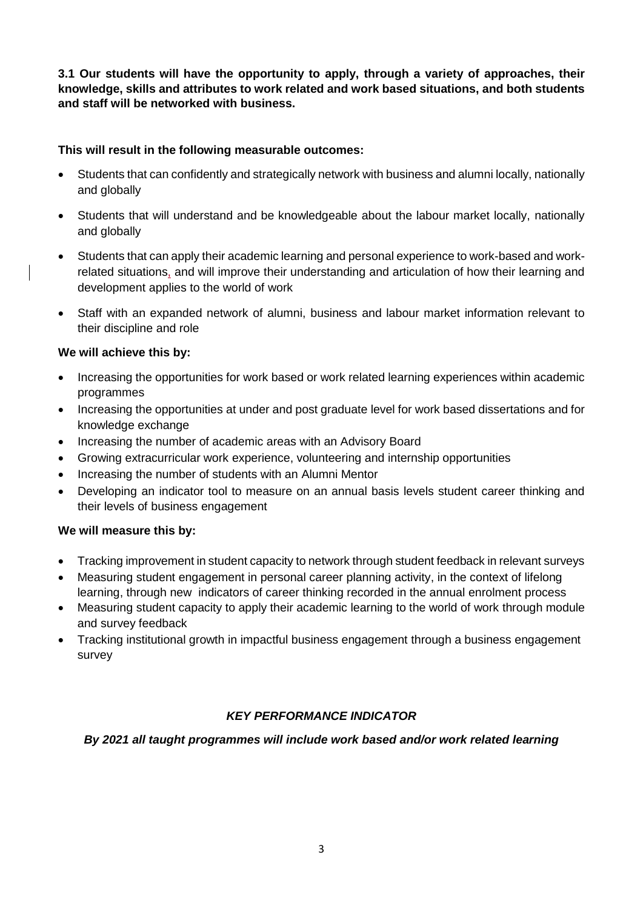**3.1 Our students will have the opportunity to apply, through a variety of approaches, their knowledge, skills and attributes to work related and work based situations, and both students and staff will be networked with business.**

## **This will result in the following measurable outcomes:**

- Students that can confidently and strategically network with business and alumni locally, nationally and globally
- Students that will understand and be knowledgeable about the labour market locally, nationally and globally
- Students that can apply their academic learning and personal experience to work-based and workrelated situations, and will improve their understanding and articulation of how their learning and development applies to the world of work
- Staff with an expanded network of alumni, business and labour market information relevant to their discipline and role

# **We will achieve this by:**

- Increasing the opportunities for work based or work related learning experiences within academic programmes
- Increasing the opportunities at under and post graduate level for work based dissertations and for knowledge exchange
- Increasing the number of academic areas with an Advisory Board
- Growing extracurricular work experience, volunteering and internship opportunities
- Increasing the number of students with an Alumni Mentor
- Developing an indicator tool to measure on an annual basis levels student career thinking and their levels of business engagement

## **We will measure this by:**

- Tracking improvement in student capacity to network through student feedback in relevant surveys
- Measuring student engagement in personal career planning activity, in the context of lifelong learning, through new indicators of career thinking recorded in the annual enrolment process
- Measuring student capacity to apply their academic learning to the world of work through module and survey feedback
- Tracking institutional growth in impactful business engagement through a business engagement survey

# *KEY PERFORMANCE INDICATOR*

## *By 2021 all taught programmes will include work based and/or work related learning*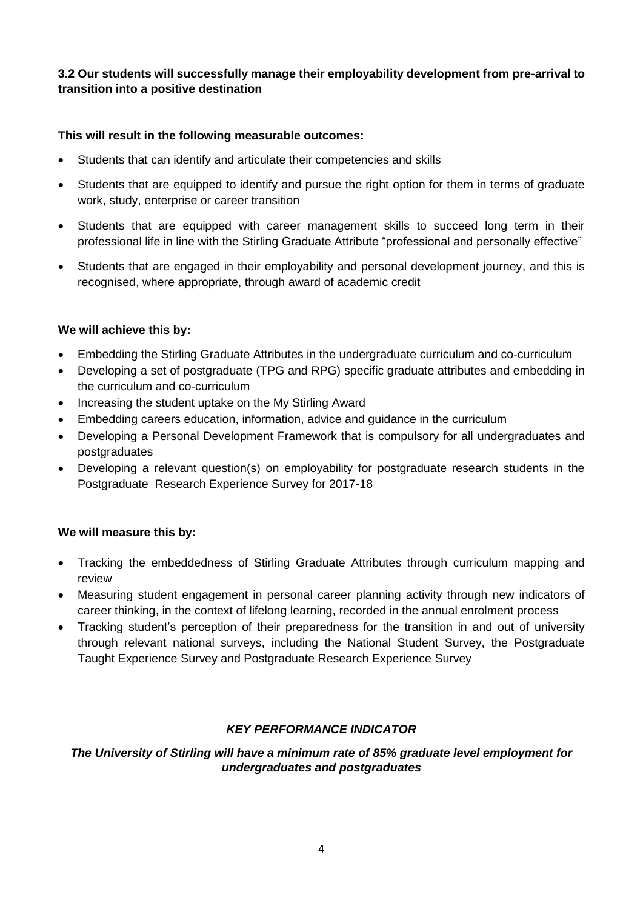**3.2 Our students will successfully manage their employability development from pre-arrival to transition into a positive destination**

## **This will result in the following measurable outcomes:**

- Students that can identify and articulate their competencies and skills
- Students that are equipped to identify and pursue the right option for them in terms of graduate work, study, enterprise or career transition
- Students that are equipped with career management skills to succeed long term in their professional life in line with the Stirling Graduate Attribute "professional and personally effective"
- Students that are engaged in their employability and personal development journey, and this is recognised, where appropriate, through award of academic credit

## **We will achieve this by:**

- Embedding the Stirling Graduate Attributes in the undergraduate curriculum and co-curriculum
- Developing a set of postgraduate (TPG and RPG) specific graduate attributes and embedding in the curriculum and co-curriculum
- Increasing the student uptake on the My Stirling Award
- Embedding careers education, information, advice and guidance in the curriculum
- Developing a Personal Development Framework that is compulsory for all undergraduates and postgraduates
- Developing a relevant question(s) on employability for postgraduate research students in the Postgraduate Research Experience Survey for 2017-18

## **We will measure this by:**

- Tracking the embeddedness of Stirling Graduate Attributes through curriculum mapping and review
- Measuring student engagement in personal career planning activity through new indicators of career thinking, in the context of lifelong learning, recorded in the annual enrolment process
- Tracking student's perception of their preparedness for the transition in and out of university through relevant national surveys, including the National Student Survey, the Postgraduate Taught Experience Survey and Postgraduate Research Experience Survey

## *KEY PERFORMANCE INDICATOR*

# *The University of Stirling will have a minimum rate of 85% graduate level employment for undergraduates and postgraduates*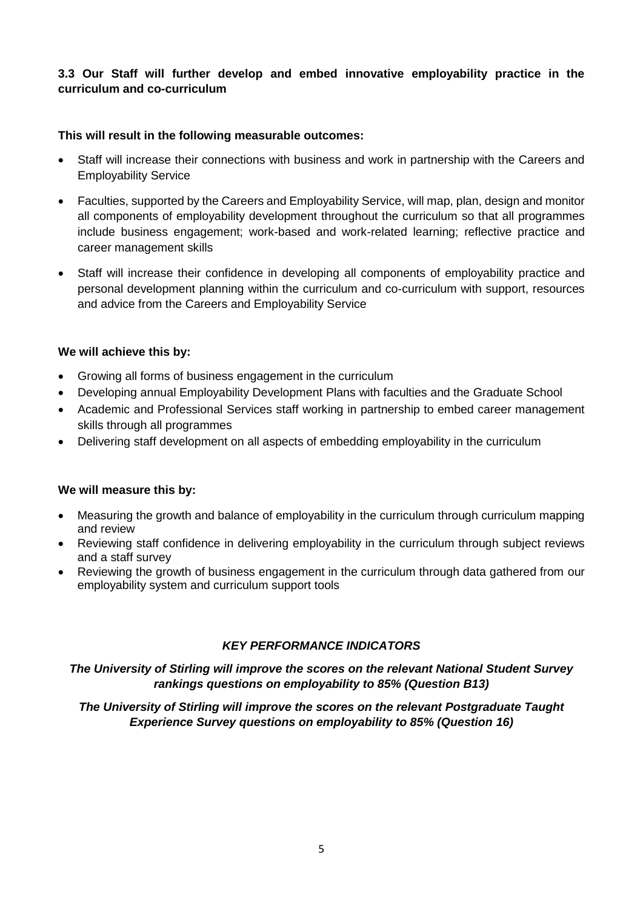#### **3.3 Our Staff will further develop and embed innovative employability practice in the curriculum and co-curriculum**

#### **This will result in the following measurable outcomes:**

- Staff will increase their connections with business and work in partnership with the Careers and Employability Service
- Faculties, supported by the Careers and Employability Service, will map, plan, design and monitor all components of employability development throughout the curriculum so that all programmes include business engagement; work-based and work-related learning; reflective practice and career management skills
- Staff will increase their confidence in developing all components of employability practice and personal development planning within the curriculum and co-curriculum with support, resources and advice from the Careers and Employability Service

## **We will achieve this by:**

- Growing all forms of business engagement in the curriculum
- Developing annual Employability Development Plans with faculties and the Graduate School
- Academic and Professional Services staff working in partnership to embed career management skills through all programmes
- Delivering staff development on all aspects of embedding employability in the curriculum

## **We will measure this by:**

- Measuring the growth and balance of employability in the curriculum through curriculum mapping and review
- Reviewing staff confidence in delivering employability in the curriculum through subject reviews and a staff survey
- Reviewing the growth of business engagement in the curriculum through data gathered from our employability system and curriculum support tools

## *KEY PERFORMANCE INDICATORS*

#### *The University of Stirling will improve the scores on the relevant National Student Survey rankings questions on employability to 85% (Question B13)*

#### *The University of Stirling will improve the scores on the relevant Postgraduate Taught Experience Survey questions on employability to 85% (Question 16)*